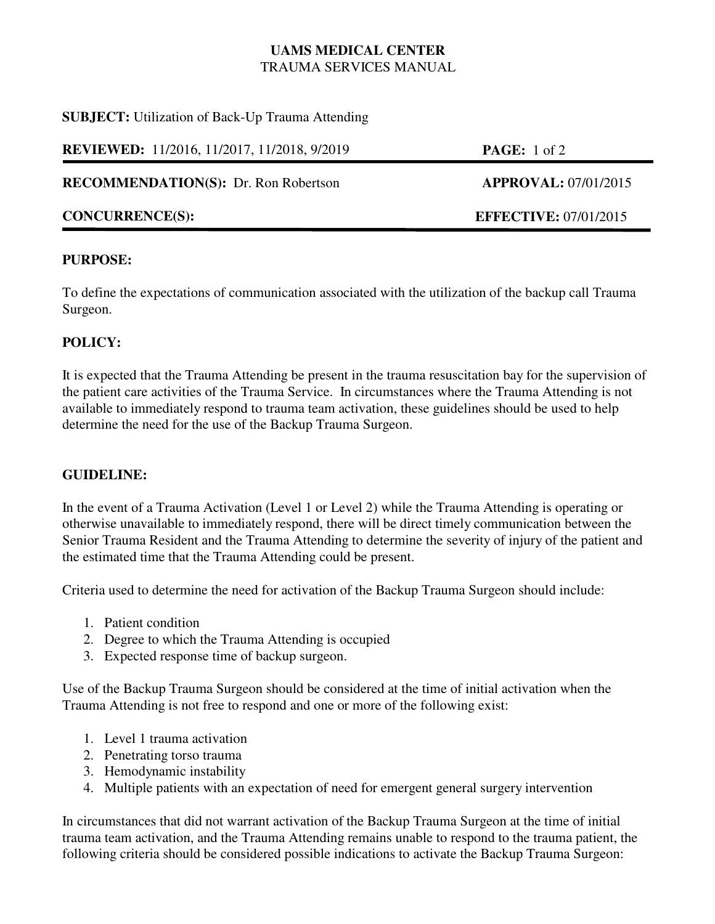# **UAMS MEDICAL CENTER** TRAUMA SERVICES MANUAL

**SUBJECT:** Utilization of Back-Up Trauma Attending

**REVIEWED:** 11/2016, 11/2017, 11/2018, 9/2019 **PAGE:** 1 of 2

**RECOMMENDATION(S):** Dr. Ron Robertson **APPROVAL:** 07/01/2015

## **PURPOSE:**

To define the expectations of communication associated with the utilization of the backup call Trauma Surgeon.

## **POLICY:**

It is expected that the Trauma Attending be present in the trauma resuscitation bay for the supervision of the patient care activities of the Trauma Service. In circumstances where the Trauma Attending is not available to immediately respond to trauma team activation, these guidelines should be used to help determine the need for the use of the Backup Trauma Surgeon.

## **GUIDELINE:**

In the event of a Trauma Activation (Level 1 or Level 2) while the Trauma Attending is operating or otherwise unavailable to immediately respond, there will be direct timely communication between the Senior Trauma Resident and the Trauma Attending to determine the severity of injury of the patient and the estimated time that the Trauma Attending could be present.

Criteria used to determine the need for activation of the Backup Trauma Surgeon should include:

- 1. Patient condition
- 2. Degree to which the Trauma Attending is occupied
- 3. Expected response time of backup surgeon.

Use of the Backup Trauma Surgeon should be considered at the time of initial activation when the Trauma Attending is not free to respond and one or more of the following exist:

- 1. Level 1 trauma activation
- 2. Penetrating torso trauma
- 3. Hemodynamic instability
- 4. Multiple patients with an expectation of need for emergent general surgery intervention

In circumstances that did not warrant activation of the Backup Trauma Surgeon at the time of initial trauma team activation, and the Trauma Attending remains unable to respond to the trauma patient, the following criteria should be considered possible indications to activate the Backup Trauma Surgeon:



**CONCURRENCE(S): EFFECTIVE:** 07/01/2015